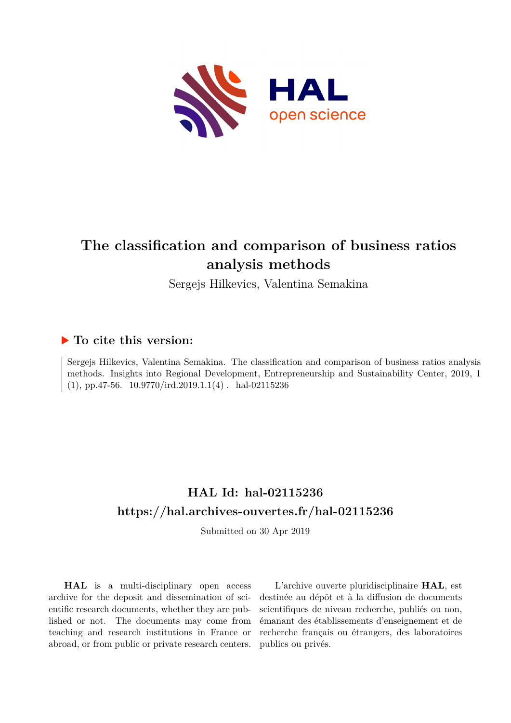

# **The classification and comparison of business ratios analysis methods**

Sergejs Hilkevics, Valentina Semakina

## **To cite this version:**

Sergejs Hilkevics, Valentina Semakina. The classification and comparison of business ratios analysis methods. Insights into Regional Development, Entrepreneurship and Sustainability Center, 2019, 1  $(1)$ , pp.47-56.  $10.9770/ird.2019.1.1(4)$ . hal-02115236

# **HAL Id: hal-02115236 <https://hal.archives-ouvertes.fr/hal-02115236>**

Submitted on 30 Apr 2019

**HAL** is a multi-disciplinary open access archive for the deposit and dissemination of scientific research documents, whether they are published or not. The documents may come from teaching and research institutions in France or abroad, or from public or private research centers.

L'archive ouverte pluridisciplinaire **HAL**, est destinée au dépôt et à la diffusion de documents scientifiques de niveau recherche, publiés ou non, émanant des établissements d'enseignement et de recherche français ou étrangers, des laboratoires publics ou privés.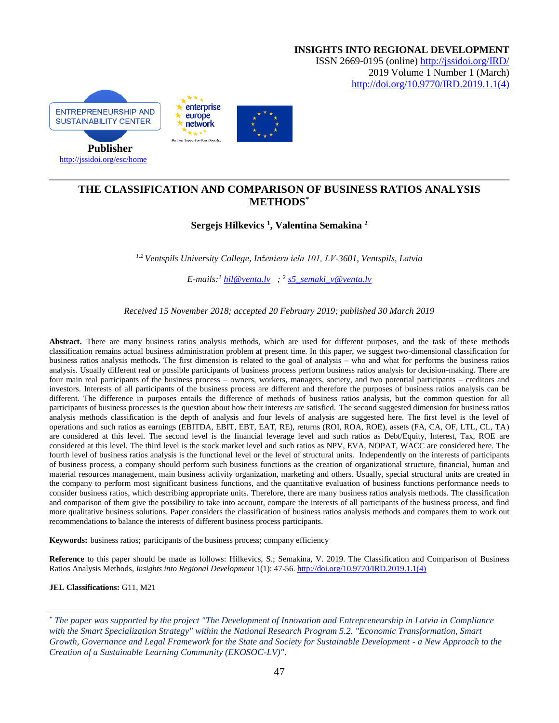

### **THE CLASSIFICATION AND COMPARISON OF BUSINESS RATIOS ANALYSIS METHODS\***

### **Sergejs Hilkevics <sup>1</sup> , Valentina Semakina <sup>2</sup>**

*1.2 Ventspils University College, Inženieru iela 101, LV-3601, Ventspils, Latvia*

*E-mails: <sup>1</sup> [hil@venta.lv](mailto:hil@venta.lv) ; <sup>2</sup> [s5\\_semaki\\_v@venta.lv](mailto:s5_semaki_v@venta.lv)*

*Received 15 November 2018; accepted 20 February 2019; published 30 March 2019*

**Abstract.** There are many business ratios analysis methods, which are used for different purposes, and the task of these methods classification remains actual business administration problem at present time. In this paper, we suggest two-dimensional classification for business ratios analysis methods**.** The first dimension is related to the goal of analysis – who and what for performs the business ratios analysis. Usually different real or possible participants of business process perform business ratios analysis for decision-making. There are four main real participants of the business process – owners, workers, managers, society, and two potential participants – creditors and investors. Interests of all participants of the business process are different and therefore the purposes of business ratios analysis can be different. The difference in purposes entails the difference of methods of business ratios analysis, but the common question for all participants of business processes is the question about how their interests are satisfied. The second suggested dimension for business ratios analysis methods classification is the depth of analysis and four levels of analysis are suggested here. The first level is the level of operations and such ratios as earnings (EBITDA, EBIT, EBT, EAT, RE), returns (ROI, ROA, ROE), assets (FA, CA, OF, LTL, CL, TA) are considered at this level. The second level is the financial leverage level and such ratios as Debt/Equity, Interest, Tax, ROE are considered at this level. The third level is the stock market level and such ratios as NPV, EVA, NOPAT, WACC are considered here. The fourth level of business ratios analysis is the functional level or the level of structural units. Independently on the interests of participants of business process, a company should perform such business functions as the creation of organizational structure, financial, human and material resources management, main business activity organization, marketing and others. Usually, special structural units are created in the company to perform most significant business functions, and the quantitative evaluation of business functions performance needs to consider business ratios, which describing appropriate units. Therefore, there are many business ratios analysis methods. The classification and comparison of them give the possibility to take into account, compare the interests of all participants of the business process, and find more qualitative business solutions. Paper considers the classification of business ratios analysis methods and compares them to work out recommendations to balance the interests of different business process participants.

**Keywords:** business ratios; participants of the business process; company efficiency

**Reference** to this paper should be made as follows: Hilkevics, S.; Semakina, V. 2019. The Classification and Comparison of Business Ratios Analysis Methods, *Insights into Regional Development* 1(1): 47-56. [http://doi.org/10.9770/IRD.2019.1.1\(4\)](http://doi.org/10.9770/IRD.2019.1.1(4))

**JEL Classifications:** G11, M21

 $\overline{a}$ 

<sup>\*</sup> *The paper was supported by the project "The Development of Innovation and Entrepreneurship in Latvia in Compliance with the Smart Specialization Strategy" within the National Research Program 5.2. "Economic Transformation, Smart Growth, Governance and Legal Framework for the State and Society for Sustainable Development - a New Approach to the Creation of a Sustainable Learning Community (EKOSOC-LV)"*.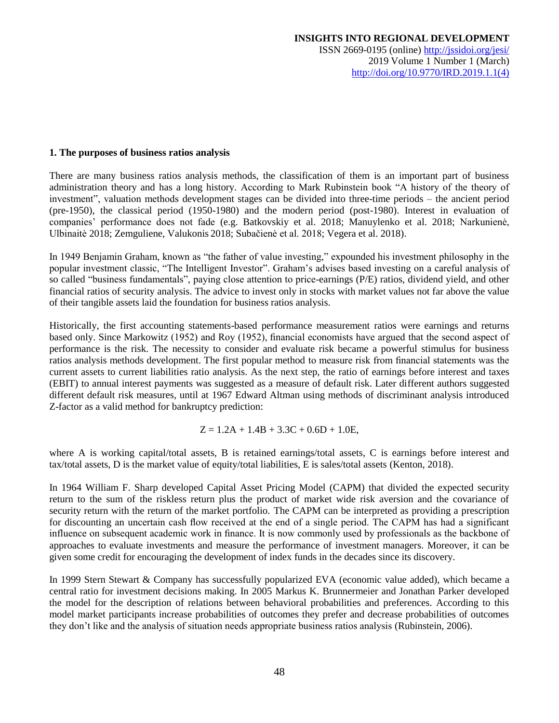#### **1. The purposes of business ratios analysis**

There are many business ratios analysis methods, the classification of them is an important part of business administration theory and has a long history. According to Mark Rubinstein book "A history of the theory of investment", valuation methods development stages can be divided into three-time periods – the ancient period (pre-1950), the classical period (1950-1980) and the modern period (post-1980). Interest in evaluation of companies' performance does not fade (e.g. Batkovskiy et al. 2018; Manuylenko et al. 2018; Narkunienė, Ulbinaitė 2018; Zemguliene, Valukonis 2018; Subačienė et al. 2018; Vegera et al. 2018).

In 1949 Benjamin Graham, known as "the father of value investing," expounded his investment philosophy in the popular investment classic, "The Intelligent Investor". Graham's advises based investing on a careful analysis of so called "business fundamentals", paying close attention to price-earnings (P/E) ratios, dividend yield, and other financial ratios of security analysis. The advice to invest only in stocks with market values not far above the value of their tangible assets laid the foundation for business ratios analysis.

Historically, the first accounting statements-based performance measurement ratios were earnings and returns based only. Since Markowitz (1952) and Roy (1952), financial economists have argued that the second aspect of performance is the risk. The necessity to consider and evaluate risk became a powerful stimulus for business ratios analysis methods development. The first popular method to measure risk from financial statements was the current assets to current liabilities ratio analysis. As the next step, the ratio of earnings before interest and taxes (EBIT) to annual interest payments was suggested as a measure of default risk. Later different authors suggested different default risk measures, until at 1967 Edward Altman using methods of discriminant analysis introduced Z-factor as a valid method for bankruptcy prediction:

$$
Z = 1.2A + 1.4B + 3.3C + 0.6D + 1.0E,
$$

where A is working capital/total assets, B is retained earnings/total assets, C is earnings before interest and tax/total assets, D is the market value of equity/total liabilities, E is sales/total assets (Kenton, 2018).

In 1964 William F. Sharp developed Capital Asset Pricing Model (CAPM) that divided the expected security return to the sum of the riskless return plus the product of market wide risk aversion and the covariance of security return with the return of the market portfolio. The CAPM can be interpreted as providing a prescription for discounting an uncertain cash flow received at the end of a single period. The CAPM has had a significant influence on subsequent academic work in finance. It is now commonly used by professionals as the backbone of approaches to evaluate investments and measure the performance of investment managers. Moreover, it can be given some credit for encouraging the development of index funds in the decades since its discovery.

In 1999 Stern Stewart & Company has successfully popularized EVA (economic value added), which became a central ratio for investment decisions making. In 2005 Markus K. Brunnermeier and Jonathan Parker developed the model for the description of relations between behavioral probabilities and preferences. According to this model market participants increase probabilities of outcomes they prefer and decrease probabilities of outcomes they don't like and the analysis of situation needs appropriate business ratios analysis (Rubinstein, 2006).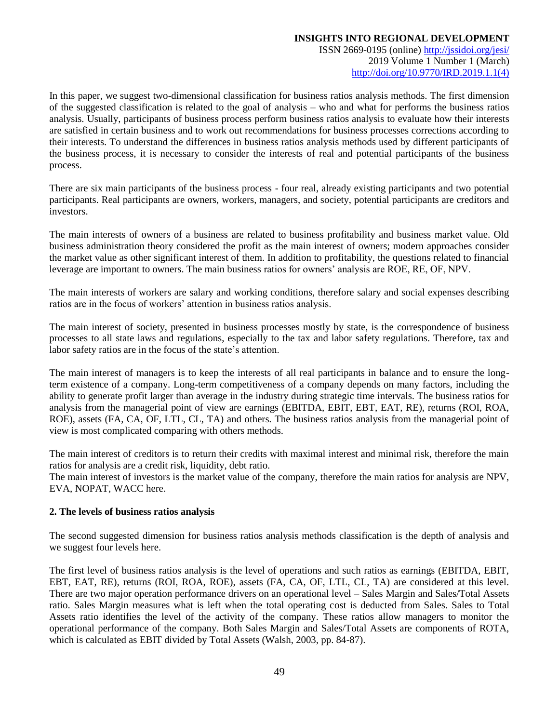ISSN 2669-0195 (online) <http://jssidoi.org/jesi/> 2019 Volume 1 Number 1 (March) [http://doi.org/10.9770/IRD.2019.1.1\(4\)](http://doi.org/10.9770/IRD.2019.1.1(4))

In this paper, we suggest two-dimensional classification for business ratios analysis methods. The first dimension of the suggested classification is related to the goal of analysis – who and what for performs the business ratios analysis. Usually, participants of business process perform business ratios analysis to evaluate how their interests are satisfied in certain business and to work out recommendations for business processes corrections according to their interests. To understand the differences in business ratios analysis methods used by different participants of the business process, it is necessary to consider the interests of real and potential participants of the business process.

There are six main participants of the business process - four real, already existing participants and two potential participants. Real participants are owners, workers, managers, and society, potential participants are creditors and investors.

The main interests of owners of a business are related to business profitability and business market value. Old business administration theory considered the profit as the main interest of owners; modern approaches consider the market value as other significant interest of them. In addition to profitability, the questions related to financial leverage are important to owners. The main business ratios for owners' analysis are ROE, RE, OF, NPV.

The main interests of workers are salary and working conditions, therefore salary and social expenses describing ratios are in the focus of workers' attention in business ratios analysis.

The main interest of society, presented in business processes mostly by state, is the correspondence of business processes to all state laws and regulations, especially to the tax and labor safety regulations. Therefore, tax and labor safety ratios are in the focus of the state's attention.

The main interest of managers is to keep the interests of all real participants in balance and to ensure the longterm existence of a company. Long-term competitiveness of a company depends on many factors, including the ability to generate profit larger than average in the industry during strategic time intervals. The business ratios for analysis from the managerial point of view are earnings (EBITDA, EBIT, EBT, EAT, RE), returns (ROI, ROA, ROE), assets (FA, CA, OF, LTL, CL, TA) and others. The business ratios analysis from the managerial point of view is most complicated comparing with others methods.

The main interest of creditors is to return their credits with maximal interest and minimal risk, therefore the main ratios for analysis are a credit risk, liquidity, debt ratio.

The main interest of investors is the market value of the company, therefore the main ratios for analysis are NPV, EVA, NOPAT, WACC here.

#### **2. The levels of business ratios analysis**

The second suggested dimension for business ratios analysis methods classification is the depth of analysis and we suggest four levels here.

The first level of business ratios analysis is the level of operations and such ratios as earnings (EBITDA, EBIT, EBT, EAT, RE), returns (ROI, ROA, ROE), assets (FA, CA, OF, LTL, CL, TA) are considered at this level. There are two major operation performance drivers on an operational level – Sales Margin and Sales/Total Assets ratio. Sales Margin measures what is left when the total operating cost is deducted from Sales. Sales to Total Assets ratio identifies the level of the activity of the company. These ratios allow managers to monitor the operational performance of the company. Both Sales Margin and Sales/Total Assets are components of ROTA, which is calculated as EBIT divided by Total Assets (Walsh, 2003, pp. 84-87).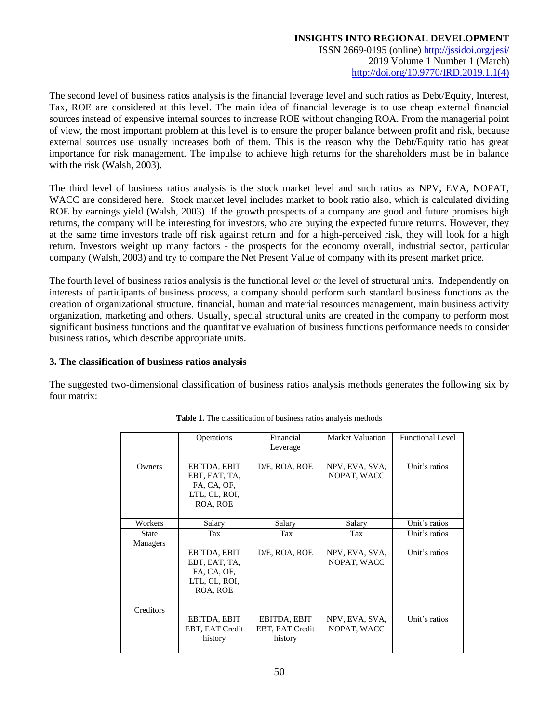ISSN 2669-0195 (online) <http://jssidoi.org/jesi/> 2019 Volume 1 Number 1 (March) [http://doi.org/10.9770/IRD.2019.1.1\(4\)](http://doi.org/10.9770/IRD.2019.1.1(4))

The second level of business ratios analysis is the financial leverage level and such ratios as Debt/Equity, Interest, Tax, ROE are considered at this level. The main idea of financial leverage is to use cheap external financial sources instead of expensive internal sources to increase ROE without changing ROA. From the managerial point of view, the most important problem at this level is to ensure the proper balance between profit and risk, because external sources use usually increases both of them. This is the reason why the Debt/Equity ratio has great importance for risk management. The impulse to achieve high returns for the shareholders must be in balance with the risk (Walsh, 2003).

The third level of business ratios analysis is the stock market level and such ratios as NPV, EVA, NOPAT, WACC are considered here. Stock market level includes market to book ratio also, which is calculated dividing ROE by earnings yield (Walsh, 2003). If the growth prospects of a company are good and future promises high returns, the company will be interesting for investors, who are buying the expected future returns. However, they at the same time investors trade off risk against return and for a high-perceived risk, they will look for a high return. Investors weight up many factors - the prospects for the economy overall, industrial sector, particular company (Walsh, 2003) and try to compare the Net Present Value of company with its present market price.

The fourth level of business ratios analysis is the functional level or the level of structural units. Independently on interests of participants of business process, a company should perform such standard business functions as the creation of organizational structure, financial, human and material resources management, main business activity organization, marketing and others. Usually, special structural units are created in the company to perform most significant business functions and the quantitative evaluation of business functions performance needs to consider business ratios, which describe appropriate units.

#### **3. The classification of business ratios analysis**

The suggested two-dimensional classification of business ratios analysis methods generates the following six by four matrix:

|                 | Operations      | Financial       | Market Valuation | <b>Functional Level</b> |  |
|-----------------|-----------------|-----------------|------------------|-------------------------|--|
|                 |                 | Leverage        |                  |                         |  |
|                 |                 |                 |                  |                         |  |
| Owners          | EBITDA, EBIT    | D/E, ROA, ROE   | NPV, EVA, SVA,   | Unit's ratios           |  |
|                 | EBT, EAT, TA,   |                 | NOPAT, WACC      |                         |  |
|                 | FA, CA, OF,     |                 |                  |                         |  |
|                 | LTL, CL, ROI,   |                 |                  |                         |  |
|                 | ROA, ROE        |                 |                  |                         |  |
|                 |                 |                 |                  |                         |  |
| Workers         | Salary          | Salary          | Salary           | Unit's ratios           |  |
| <b>State</b>    | Tax             | Tax             | Tax              | Unit's ratios           |  |
| <b>Managers</b> |                 |                 |                  |                         |  |
|                 | EBITDA, EBIT    | D/E, ROA, ROE   | NPV, EVA, SVA,   | Unit's ratios           |  |
|                 | EBT, EAT, TA,   |                 | NOPAT, WACC      |                         |  |
|                 | FA, CA, OF,     |                 |                  |                         |  |
|                 | LTL, CL, ROI,   |                 |                  |                         |  |
|                 | ROA, ROE        |                 |                  |                         |  |
|                 |                 |                 |                  |                         |  |
| Creditors       |                 |                 |                  |                         |  |
|                 | EBITDA, EBIT    | EBITDA, EBIT    | NPV, EVA, SVA,   | Unit's ratios           |  |
|                 | EBT, EAT Credit | EBT, EAT Credit | NOPAT, WACC      |                         |  |
|                 |                 |                 |                  |                         |  |
|                 | history         | history         |                  |                         |  |

**Table 1.** The classification of business ratios analysis methods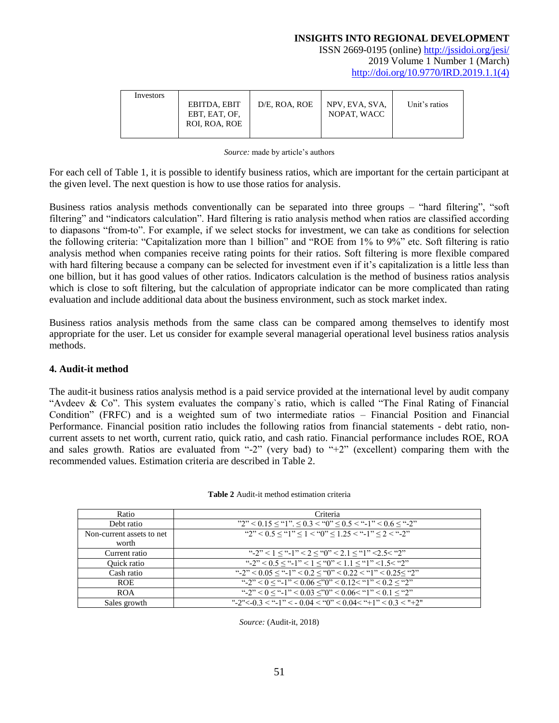ISSN 2669-0195 (online) <http://jssidoi.org/jesi/> 2019 Volume 1 Number 1 (March) [http://doi.org/10.9770/IRD.2019.1.1\(4\)](http://doi.org/10.9770/IRD.2019.1.1(4))

| Investors |               |               |                |               |
|-----------|---------------|---------------|----------------|---------------|
|           | EBITDA, EBIT  | D/E. ROA. ROE | NPV, EVA, SVA, | Unit's ratios |
|           | EBT, EAT, OF, |               | NOPAT, WACC    |               |
|           | ROI, ROA, ROE |               |                |               |
|           |               |               |                |               |

*Source:* made by article's authors

For each cell of Table 1, it is possible to identify business ratios, which are important for the certain participant at the given level. The next question is how to use those ratios for analysis.

Business ratios analysis methods conventionally can be separated into three groups – "hard filtering", "soft filtering" and "indicators calculation". Hard filtering is ratio analysis method when ratios are classified according to diapasons "from-to". For example, if we select stocks for investment, we can take as conditions for selection the following criteria: "Capitalization more than 1 billion" and "ROE from 1% to 9%" etc. Soft filtering is ratio analysis method when companies receive rating points for their ratios. Soft filtering is more flexible compared with hard filtering because a company can be selected for investment even if it's capitalization is a little less than one billion, but it has good values of other ratios. Indicators calculation is the method of business ratios analysis which is close to soft filtering, but the calculation of appropriate indicator can be more complicated than rating evaluation and include additional data about the business environment, such as stock market index.

Business ratios analysis methods from the same class can be compared among themselves to identify most appropriate for the user. Let us consider for example several managerial operational level business ratios analysis methods.

#### **4. Audit-it method**

The audit-it business ratios analysis method is a paid service provided at the international level by audit company "Avdeev & Co". This system evaluates the company`s ratio, which is called "The Final Rating of Financial Condition" (FRFC) and is a weighted sum of two intermediate ratios – Financial Position and Financial Performance. Financial position ratio includes the following ratios from financial statements - debt ratio, noncurrent assets to net worth, current ratio, quick ratio, and cash ratio. Financial performance includes ROE, ROA and sales growth. Ratios are evaluated from "-2" (very bad) to "+2" (excellent) comparing them with the recommended values. Estimation criteria are described in Table 2.

| Ratio                     | Criteria                                                                                                                                                                                                                      |
|---------------------------|-------------------------------------------------------------------------------------------------------------------------------------------------------------------------------------------------------------------------------|
| Debt ratio                | $"2"$ < 0.15 $\le$ "1". $\le$ 0.3 < "0" $\le$ 0.5 < "-1" < 0.6 $\le$ "-2"                                                                                                                                                     |
| Non-current assets to net | "2" < 0.5 $\le$ "1" $\le$ 1 < "0" $\le$ 1.25 < "-1" $\le$ 2 < "-2"                                                                                                                                                            |
| worth                     |                                                                                                                                                                                                                               |
| Current ratio             | "-2" < 1 $\le$ "-1" < 2 $\le$ "0" < 2.1 $\le$ "1" < 2.5 < "2"                                                                                                                                                                 |
| Quick ratio               | "-2" < $0.5 \le$ "-1" < $1 \le$ "0" < $1.1 \le$ "1" < $1.5$ < "2"                                                                                                                                                             |
| Cash ratio                | "-2" < $0.05 \le$ "-1" < $0.2 \le$ "0" < $0.22 \le$ "1" < $0.25 \le$ "2"                                                                                                                                                      |
| <b>ROE</b>                | "-2" < 0 \le \text{ -1" \le 0.06 \le \text{ On 2 \le \text{ C} \cdot 1 \cdot \cdot C \cdot \cdot C \cdot C \cdot C \cdot C \cdot C \cdot C \cdot C \cdot C \cdot C \cdot C \cdot C \cdot C \cdot C \cdot C \cdot C \cdot C \c |
| <b>ROA</b>                | "-2" < 0 	e "-1" < 0.03 	e "0" < 0.06 	e "1" < 0.1 	e "2"                                                                                                                                                                     |
| Sales growth              | "-2"<-0.3 < "-1" < - 0.04 < "0" < 0.04< "+1" < 0.3 < "+2"                                                                                                                                                                     |

**Table 2** Audit-it method estimation criteria

*Source:* (Audit-it, 2018)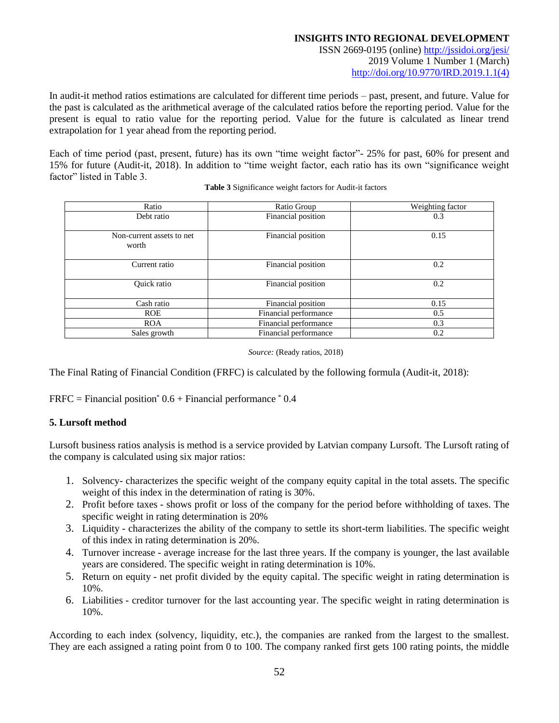ISSN 2669-0195 (online) <http://jssidoi.org/jesi/> 2019 Volume 1 Number 1 (March) [http://doi.org/10.9770/IRD.2019.1.1\(4\)](http://doi.org/10.9770/IRD.2019.1.1(4))

In audit-it method ratios estimations are calculated for different time periods – past, present, and future. Value for the past is calculated as the arithmetical average of the calculated ratios before the reporting period. Value for the present is equal to ratio value for the reporting period. Value for the future is calculated as linear trend extrapolation for 1 year ahead from the reporting period.

Each of time period (past, present, future) has its own "time weight factor"- 25% for past, 60% for present and 15% for future (Audit-it, 2018). In addition to "time weight factor, each ratio has its own "significance weight factor" listed in Table 3.

| Ratio                              | Ratio Group           | Weighting factor |  |  |  |
|------------------------------------|-----------------------|------------------|--|--|--|
| Debt ratio                         | Financial position    | 0.3              |  |  |  |
| Non-current assets to net<br>worth | Financial position    | 0.15             |  |  |  |
| Current ratio                      | Financial position    | 0.2              |  |  |  |
| Quick ratio                        | Financial position    | 0.2              |  |  |  |
| Cash ratio                         | Financial position    | 0.15             |  |  |  |
| <b>ROE</b>                         | Financial performance | 0.5              |  |  |  |
| <b>ROA</b>                         | Financial performance | 0.3              |  |  |  |
| Sales growth                       | Financial performance | 0.2              |  |  |  |

**Table 3** Significance weight factors for Audit-it factors

*Source:* (Ready ratios, 2018)

The Final Rating of Financial Condition (FRFC) is calculated by the following formula (Audit-it, 2018):

 $FRFC = Financial position<sup>*</sup> 0.6 + Financial performance<sup>*</sup> 0.4$ 

#### **5. Lursoft method**

Lursoft business ratios analysis is method is a service provided by Latvian company Lursoft. The Lursoft rating of the company is calculated using six major ratios:

- 1. Solvency- characterizes the specific weight of the company equity capital in the total assets. The specific weight of this index in the determination of rating is 30%.
- 2. Profit before taxes shows profit or loss of the company for the period before withholding of taxes. The specific weight in rating determination is 20%
- 3. Liquidity characterizes the ability of the company to settle its short-term liabilities. The specific weight of this index in rating determination is 20%.
- 4. Turnover increase average increase for the last three years. If the company is younger, the last available years are considered. The specific weight in rating determination is 10%.
- 5. Return on equity net profit divided by the equity capital. The specific weight in rating determination is 10%.
- 6. Liabilities creditor turnover for the last accounting year. The specific weight in rating determination is 10%.

According to each index (solvency, liquidity, etc.), the companies are ranked from the largest to the smallest. They are each assigned a rating point from 0 to 100. The company ranked first gets 100 rating points, the middle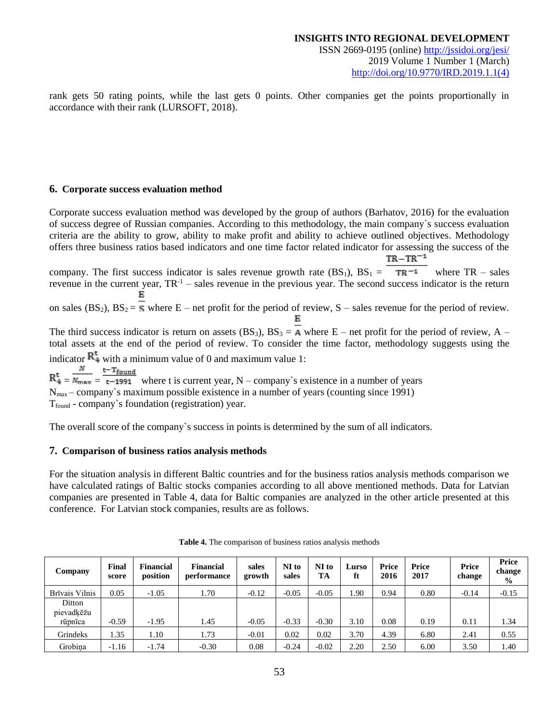rank gets 50 rating points, while the last gets 0 points. Other companies get the points proportionally in accordance with their rank (LURSOFT, 2018).

#### **6. Corporate success evaluation method**

Corporate success evaluation method was developed by the group of authors (Barhatov, 2016) for the evaluation of success degree of Russian companies. According to this methodology, the main company`s success evaluation criteria are the ability to grow, ability to make profit and ability to achieve outlined objectives. Methodology offers three business ratios based indicators and one time factor related indicator for assessing the success of the  $TR - TR^{-1}$ 

company. The first success indicator is sales revenue growth rate  $(BS_1)$ ,  $BS_1 = \text{TR}^{-1}$  where TR – sales revenue in the current year,  $TR^{-1}$  – sales revenue in the previous year. The second success indicator is the return

on sales (BS<sub>2</sub>), BS<sub>2</sub> =  $\overline{S}$  where E – net profit for the period of review, S – sales revenue for the period of review. Е

The third success indicator is return on assets (BS<sub>3</sub>), BS<sub>3</sub> = A where E – net profit for the period of review, A – total assets at the end of the period of review. To consider the time factor, methodology suggests using the indicator  $\mathbb{R}^t_4$  with a minimum value of 0 and maximum value 1:

 $R_4^t = \frac{N}{N_{\text{max}}} = \frac{t - T_{\text{found}}}{t - 1991}$  where t is current year, N – company's existence in a number of years Nmax – company`s maximum possible existence in a number of years (counting since 1991)

Tfound - company`s foundation (registration) year.

The overall score of the company`s success in points is determined by the sum of all indicators.

#### **7. Comparison of business ratios analysis methods**

For the situation analysis in different Baltic countries and for the business ratios analysis methods comparison we have calculated ratings of Baltic stocks companies according to all above mentioned methods. Data for Latvian companies are presented in Table 4, data for Baltic companies are analyzed in the other article presented at this conference. For Latvian stock companies, results are as follows.

| Company              | Final<br>score | <b>Financial</b><br>position | <b>Financial</b><br>performance | sales<br>growth | NI to<br>sales | NI to<br>TA | Lurso<br>ft | Price<br>2016 | Price<br>2017 | Price<br>change | Price<br>change<br>$\frac{6}{9}$ |
|----------------------|----------------|------------------------------|---------------------------------|-----------------|----------------|-------------|-------------|---------------|---------------|-----------------|----------------------------------|
| Brīvais Vilnis       | 0.05           | $-1.05$                      | 1.70                            | $-0.12$         | $-0.05$        | $-0.05$     | .90         | 0.94          | 0.80          | $-0.14$         | $-0.15$                          |
| Ditton<br>pievadķēžu |                |                              |                                 |                 |                |             |             |               |               |                 |                                  |
| rūpnīca              | $-0.59$        | $-1.95$                      | 1.45                            | $-0.05$         | $-0.33$        | $-0.30$     | 3.10        | 0.08          | 0.19          | 0.11            | 1.34                             |
| Grindeks             | 1.35           | 1.10                         | 1.73                            | $-0.01$         | 0.02           | 0.02        | 3.70        | 4.39          | 6.80          | 2.41            | 0.55                             |
| Grobina              | $-1.16$        | $-1.74$                      | $-0.30$                         | 0.08            | $-0.24$        | $-0.02$     | 2.20        | 2.50          | 6.00          | 3.50            | 1.40                             |

**Table 4.** The comparison of business ratios analysis methods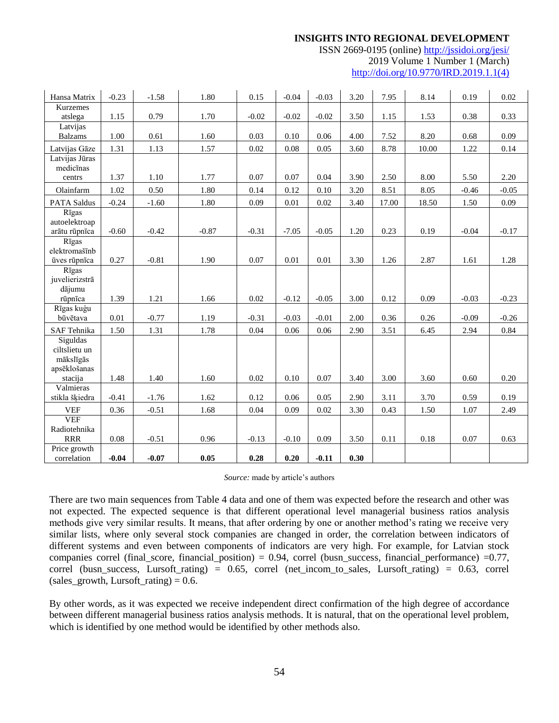ISSN 2669-0195 (online) <http://jssidoi.org/jesi/> 2019 Volume 1 Number 1 (March) [http://doi.org/10.9770/IRD.2019.1.1\(4\)](http://doi.org/10.9770/IRD.2019.1.1(4))

| Hansa Matrix            | $-0.23$  | $-1.58$ | 1.80    | 0.15    | $-0.04$  | $-0.03$ | 3.20 | 7.95  | 8.14     | 0.19    | 0.02    |
|-------------------------|----------|---------|---------|---------|----------|---------|------|-------|----------|---------|---------|
| <b>Kurzemes</b>         |          |         |         |         |          |         |      |       |          |         |         |
| atslega                 | 1.15     | 0.79    | 1.70    | $-0.02$ | $-0.02$  | $-0.02$ | 3.50 | 1.15  | 1.53     | 0.38    | 0.33    |
| Latvijas                |          |         |         |         |          |         |      |       |          |         |         |
| <b>Balzams</b>          | 1.00     | 0.61    | 1.60    | 0.03    | 0.10     | 0.06    | 4.00 | 7.52  | 8.20     | 0.68    | 0.09    |
| Latvijas Gāze           | 1.31     | 1.13    | 1.57    | 0.02    | $0.08\,$ | 0.05    | 3.60 | 8.78  | 10.00    | 1.22    | 0.14    |
| Latvijas Jūras          |          |         |         |         |          |         |      |       |          |         |         |
| medicīnas               | 1.37     | 1.10    | 1.77    | 0.07    | 0.07     | 0.04    | 3.90 | 2.50  | 8.00     | 5.50    | 2.20    |
| centrs                  |          |         |         |         |          |         |      |       |          |         |         |
| Olainfarm               | 1.02     | 0.50    | 1.80    | 0.14    | 0.12     | 0.10    | 3.20 | 8.51  | 8.05     | $-0.46$ | $-0.05$ |
| <b>PATA Saldus</b>      | $-0.24$  | $-1.60$ | 1.80    | 0.09    | 0.01     | 0.02    | 3.40 | 17.00 | 18.50    | 1.50    | 0.09    |
| Rīgas                   |          |         |         |         |          |         |      |       |          |         |         |
| autoelektroap           |          |         |         |         |          |         |      |       |          |         |         |
| arātu rūpnīca           | $-0.60$  | $-0.42$ | $-0.87$ | $-0.31$ | $-7.05$  | $-0.05$ | 1.20 | 0.23  | 0.19     | $-0.04$ | $-0.17$ |
| Rīgas<br>elektromašīnb  |          |         |         |         |          |         |      |       |          |         |         |
| ūves rūpnīca            | 0.27     | $-0.81$ | 1.90    | 0.07    | 0.01     | 0.01    | 3.30 | 1.26  | 2.87     | 1.61    | 1.28    |
| Rīgas                   |          |         |         |         |          |         |      |       |          |         |         |
| juvelierizstrā          |          |         |         |         |          |         |      |       |          |         |         |
| dājumu                  |          |         |         |         |          |         |      |       |          |         |         |
| rūpnīca                 | 1.39     | 1.21    | 1.66    | 0.02    | $-0.12$  | $-0.05$ | 3.00 | 0.12  | 0.09     | $-0.03$ | $-0.23$ |
| Rīgas kuģu              |          |         |         |         |          |         |      |       |          |         |         |
| būvētava                | $0.01\,$ | $-0.77$ | 1.19    | $-0.31$ | $-0.03$  | $-0.01$ | 2.00 | 0.36  | 0.26     | $-0.09$ | $-0.26$ |
| SAF Tehnika             | 1.50     | 1.31    | 1.78    | 0.04    | 0.06     | 0.06    | 2.90 | 3.51  | 6.45     | 2.94    | 0.84    |
| Siguldas                |          |         |         |         |          |         |      |       |          |         |         |
| ciltslietu un           |          |         |         |         |          |         |      |       |          |         |         |
| mākslīgās               |          |         |         |         |          |         |      |       |          |         |         |
| apsēklošanas<br>stacija | 1.48     | 1.40    | 1.60    | 0.02    | 0.10     | 0.07    | 3.40 | 3.00  | 3.60     | 0.60    | 0.20    |
| Valmieras               |          |         |         |         |          |         |      |       |          |         |         |
| stikla šķiedra          | $-0.41$  | $-1.76$ | 1.62    | 0.12    | 0.06     | 0.05    | 2.90 | 3.11  | 3.70     | 0.59    | 0.19    |
| <b>VEF</b>              | 0.36     | $-0.51$ | 1.68    | 0.04    | 0.09     | 0.02    | 3.30 | 0.43  | 1.50     | 1.07    | 2.49    |
| <b>VEF</b>              |          |         |         |         |          |         |      |       |          |         |         |
| Radiotehnika            |          |         |         |         |          |         |      |       |          |         |         |
| <b>RRR</b>              | 0.08     | $-0.51$ | 0.96    | $-0.13$ | $-0.10$  | 0.09    | 3.50 | 0.11  | $0.18\,$ | 0.07    | 0.63    |
| Price growth            |          |         |         |         |          |         |      |       |          |         |         |
| correlation             | $-0.04$  | $-0.07$ | 0.05    | 0.28    | 0.20     | $-0.11$ | 0.30 |       |          |         |         |

#### *Source:* made by article's authors

There are two main sequences from Table 4 data and one of them was expected before the research and other was not expected. The expected sequence is that different operational level managerial business ratios analysis methods give very similar results. It means, that after ordering by one or another method's rating we receive very similar lists, where only several stock companies are changed in order, the correlation between indicators of different systems and even between components of indicators are very high. For example, for Latvian stock companies correl (final\_score, financial\_position) =  $0.94$ , correl (busn\_success, financial\_performance) = $0.77$ , correl (busn\_success, Lursoft\_rating) = 0.65, correl (net\_incom\_to\_sales, Lursoft\_rating) = 0.63, correl  $(sales\_growth, Lursoft\_rating) = 0.6.$ 

By other words, as it was expected we receive independent direct confirmation of the high degree of accordance between different managerial business ratios analysis methods. It is natural, that on the operational level problem, which is identified by one method would be identified by other methods also.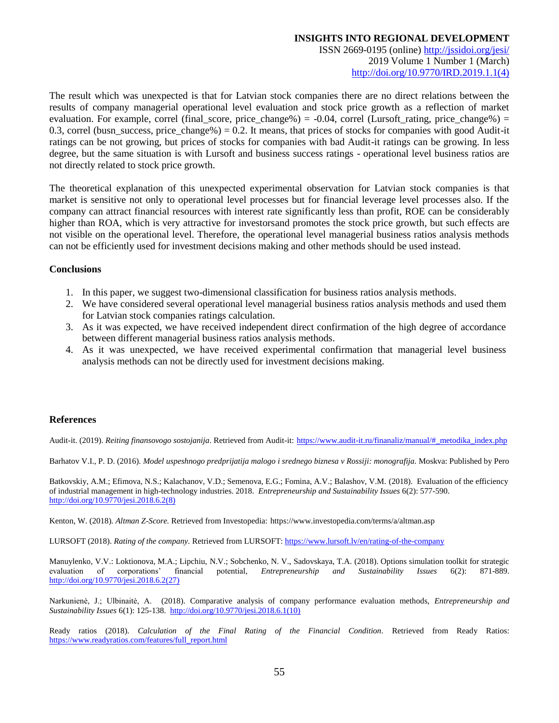ISSN 2669-0195 (online) <http://jssidoi.org/jesi/> 2019 Volume 1 Number 1 (March) [http://doi.org/10.9770/IRD.2019.1.1\(4\)](http://doi.org/10.9770/IRD.2019.1.1(4))

The result which was unexpected is that for Latvian stock companies there are no direct relations between the results of company managerial operational level evaluation and stock price growth as a reflection of market evaluation. For example, correl (final\_score, price\_change%) =  $-0.04$ , correl (Lursoft\_rating, price\_change%) = 0.3, correl (busn\_success, price\_change%) = 0.2. It means, that prices of stocks for companies with good Audit-it ratings can be not growing, but prices of stocks for companies with bad Audit-it ratings can be growing. In less degree, but the same situation is with Lursoft and business success ratings - operational level business ratios are not directly related to stock price growth.

The theoretical explanation of this unexpected experimental observation for Latvian stock companies is that market is sensitive not only to operational level processes but for financial leverage level processes also. If the company can attract financial resources with interest rate significantly less than profit, ROE can be considerably higher than ROA, which is very attractive for investorsand promotes the stock price growth, but such effects are not visible on the operational level. Therefore, the operational level managerial business ratios analysis methods can not be efficiently used for investment decisions making and other methods should be used instead.

#### **Conclusions**

- 1. In this paper, we suggest two-dimensional classification for business ratios analysis methods.
- 2. We have considered several operational level managerial business ratios analysis methods and used them for Latvian stock companies ratings calculation.
- 3. As it was expected, we have received independent direct confirmation of the high degree of accordance between different managerial business ratios analysis methods.
- 4. As it was unexpected, we have received experimental confirmation that managerial level business analysis methods can not be directly used for investment decisions making.

#### **References**

Audit-it. (2019). *Reiting finansovogo sostojanija*. Retrieved from Audit-it: [https://www.audit-it.ru/finanaliz/manual/#\\_metodika\\_index.php](https://www.audit-it.ru/finanaliz/manual/#_metodika_index.php)

Barhatov V.I., P. D. (2016). *Model uspeshnogo predprijatija malogo i srednego biznesa v Rossiji: monografija.* Moskva: Published by Pero

Batkovskiy, A.M.; Efimova, N.S.; Kalachanov, V.D.; Semenova, E.G.; Fomina, A.V.; Balashov, V.M. (2018). Evaluation of the efficiency of industrial management in high-technology industries. 2018. *Entrepreneurship and Sustainability Issues* 6(2): 577-590. [http://doi.org/10.9770/jesi.2018.6.2\(8\)](http://doi.org/10.9770/jesi.2018.6.2(8))

Kenton, W. (2018). *Altman Z-Score.* Retrieved from Investopedia: https://www.investopedia.com/terms/a/altman.asp

LURSOFT (2018). *Rating of the company.* Retrieved from LURSOFT:<https://www.lursoft.lv/en/rating-of-the-company>

Manuylenko, V.V.: Loktionova, M.A.; Lipchiu, N.V.; Sobchenko, N. V., Sadovskaya, T.A. (2018). Options simulation toolkit for strategic evaluation of corporations' financial potential, *Entrepreneurship and Sustainability Issues* 6(2): 871-889. [http://doi.org/10.9770/jesi.2018.6.2\(27\)](http://doi.org/10.9770/jesi.2018.6.2(27))

Narkunienė, J.; Ulbinaitė, A. (2018). Comparative analysis of company performance evaluation methods, *Entrepreneurship and Sustainability Issues* 6(1): 125-138. [http://doi.org/10.9770/jesi.2018.6.1\(10\)](http://doi.org/10.9770/jesi.2018.6.1(10))

Ready ratios (2018). *Calculation of the Final Rating of the Financial Condition.* Retrieved from Ready Ratios: [https://www.readyratios.com/features/full\\_report.html](https://www.readyratios.com/features/full_report.html)